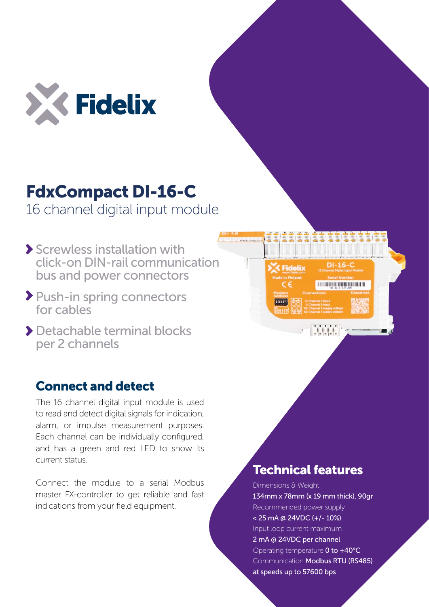

## FdxCompact DI-16-C

16 channel digital input module

- Screwless installation with click-on DIN-rail communication bus and power connectors
- Push-in spring connectors for cables
- Detachable terminal blocks per 2 channels

## Connect and detect

The 16 channel digital input module is used to read and detect digital signals for indication, alarm, or impulse measurement purposes. Each channel can be individually configured, and has a green and red LED to show its current status.

Connect the module to a serial Modbus master FX-controller to get reliable and fast indications from your field equipment.

## $DI-16-C$ **Fidelix BRIDGE BRIDGE AND ALL AND RESIDENCE State**

## Technical features

Dimensions & Weight 134mm x 78mm (x 19 mm thick), 90gr Recommended power supply < 25 mA @ 24VDC (+/- 10%) Input loop current maximum 2 mA @ 24VDC per channel Operating temperature 0 to +40°C Communication Modbus RTU (RS485) at speeds up to 57600 bps